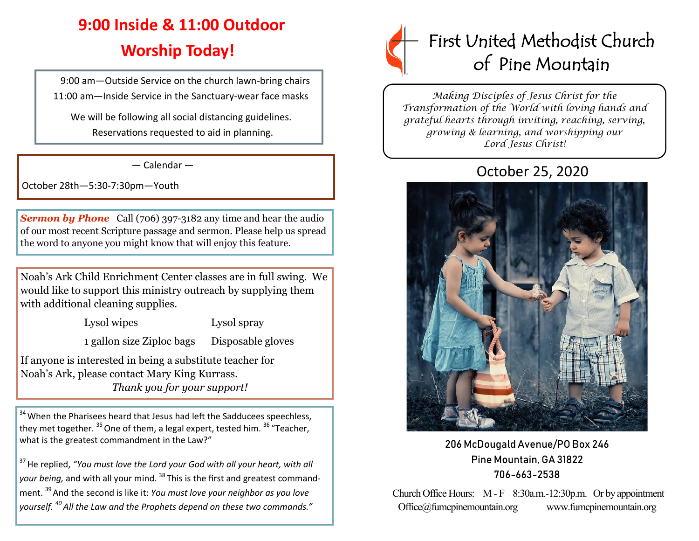## **9:00 Inside & 11:00 Outdoor Worship Today!**

 9:00 am—Outside Service on the church lawn-bring chairs 11:00 am—Inside Service in the Sanctuary-wear face masks

We will be following all social distancing guidelines. Reservations requested to aid in planning.

— Calendar —

October 28th—5:30-7:30pm—Youth

**Sermon by Phone** Call (706) 397-3182 any time and hear the audio of our most recent Scripture passage and sermon. Please help us spread the word to anyone you might know that will enjoy this feature.

Noah's Ark Child Enrichment Center classes are in full swing. We would like to support this ministry outreach by supplying them with additional cleaning supplies.

Lysol wipes Lysol spray

1 gallon size Ziploc bags Disposable gloves

If anyone is interested in being a substitute teacher for Noah's Ark, please contact Mary King Kurrass.  *Thank you for your support!*

<sup>34</sup> When the Pharisees heard that Jesus had left the Sadducees speechless, they met together.  $^{35}$  One of them, a legal expert, tested him.  $^{36}$  "Teacher, what is the greatest commandment in the Law?"

<sup>37</sup> He replied, "You must love the Lord your God with all your heart, with all *your being,* and with all your mind. <sup>38</sup> This is the first and greatest commandment.<sup>39</sup> And the second is like it: *You must love your neighbor as you love yourself. <sup>40</sup> All the Law and the Prophets depend on these two commands."*



*Making Disciples of Jesus Christ for the Transformation of the World with loving hands and grateful hearts through inviting, reaching, serving, growing & learning, and worshipping our Lord Jesus Christ!* 

## October 25, 2020



206 McDougald Avenue/PO Box 246 Pine Mountain, GA 31822 706-663-2538

Church Office Hours: M - F 8:30a.m.-12:30p.m. Or by appointment Office@fumcpinemountain.org www.fumcpinemountain.org